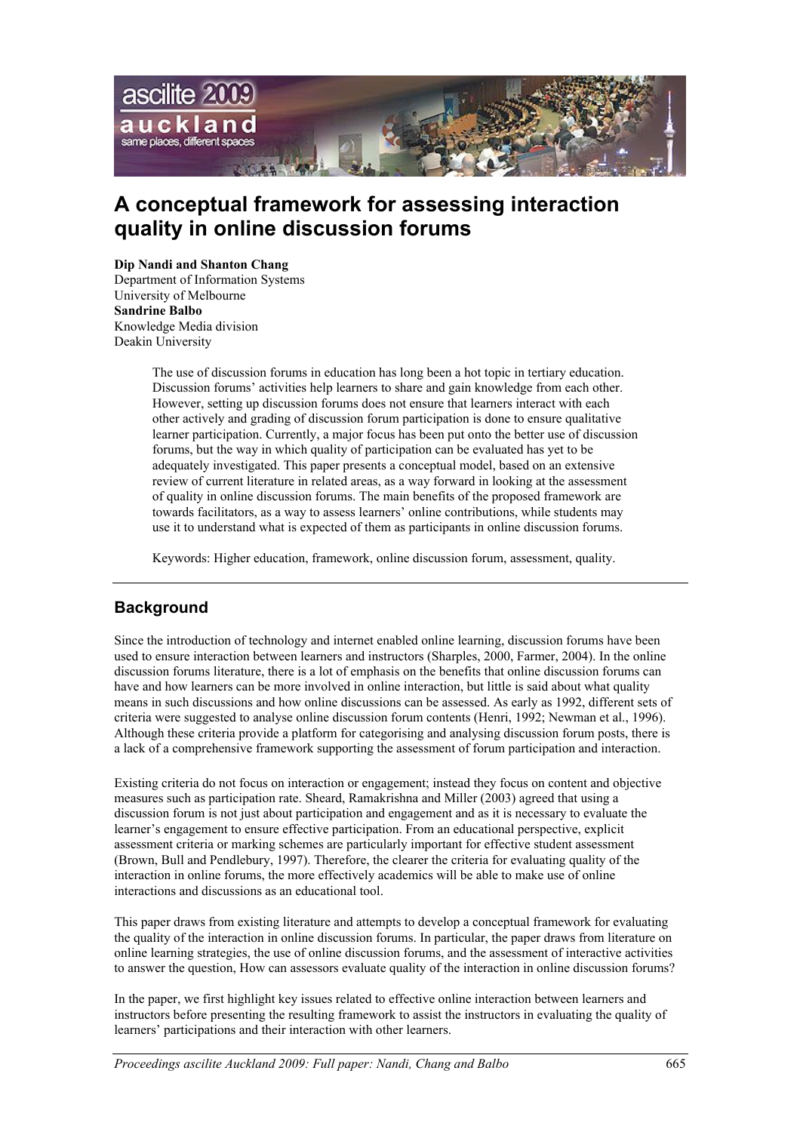

# **A conceptual framework for assessing interaction quality in online discussion forums**

#### **Dip Nandi and Shanton Chang**

Department of Information Systems University of Melbourne **Sandrine Balbo** Knowledge Media division Deakin University

> The use of discussion forums in education has long been a hot topic in tertiary education. Discussion forums' activities help learners to share and gain knowledge from each other. However, setting up discussion forums does not ensure that learners interact with each other actively and grading of discussion forum participation is done to ensure qualitative learner participation. Currently, a major focus has been put onto the better use of discussion forums, but the way in which quality of participation can be evaluated has yet to be adequately investigated. This paper presents a conceptual model, based on an extensive review of current literature in related areas, as a way forward in looking at the assessment of quality in online discussion forums. The main benefits of the proposed framework are towards facilitators, as a way to assess learners' online contributions, while students may use it to understand what is expected of them as participants in online discussion forums.

Keywords: Higher education, framework, online discussion forum, assessment, quality.

# **Background**

Since the introduction of technology and internet enabled online learning, discussion forums have been used to ensure interaction between learners and instructors (Sharples, 2000, Farmer, 2004). In the online discussion forums literature, there is a lot of emphasis on the benefits that online discussion forums can have and how learners can be more involved in online interaction, but little is said about what quality means in such discussions and how online discussions can be assessed. As early as 1992, different sets of criteria were suggested to analyse online discussion forum contents (Henri, 1992; Newman et al., 1996). Although these criteria provide a platform for categorising and analysing discussion forum posts, there is a lack of a comprehensive framework supporting the assessment of forum participation and interaction.

Existing criteria do not focus on interaction or engagement; instead they focus on content and objective measures such as participation rate. Sheard, Ramakrishna and Miller (2003) agreed that using a discussion forum is not just about participation and engagement and as it is necessary to evaluate the learner's engagement to ensure effective participation. From an educational perspective, explicit assessment criteria or marking schemes are particularly important for effective student assessment (Brown, Bull and Pendlebury, 1997). Therefore, the clearer the criteria for evaluating quality of the interaction in online forums, the more effectively academics will be able to make use of online interactions and discussions as an educational tool.

This paper draws from existing literature and attempts to develop a conceptual framework for evaluating the quality of the interaction in online discussion forums. In particular, the paper draws from literature on online learning strategies, the use of online discussion forums, and the assessment of interactive activities to answer the question, How can assessors evaluate quality of the interaction in online discussion forums?

In the paper, we first highlight key issues related to effective online interaction between learners and instructors before presenting the resulting framework to assist the instructors in evaluating the quality of learners' participations and their interaction with other learners.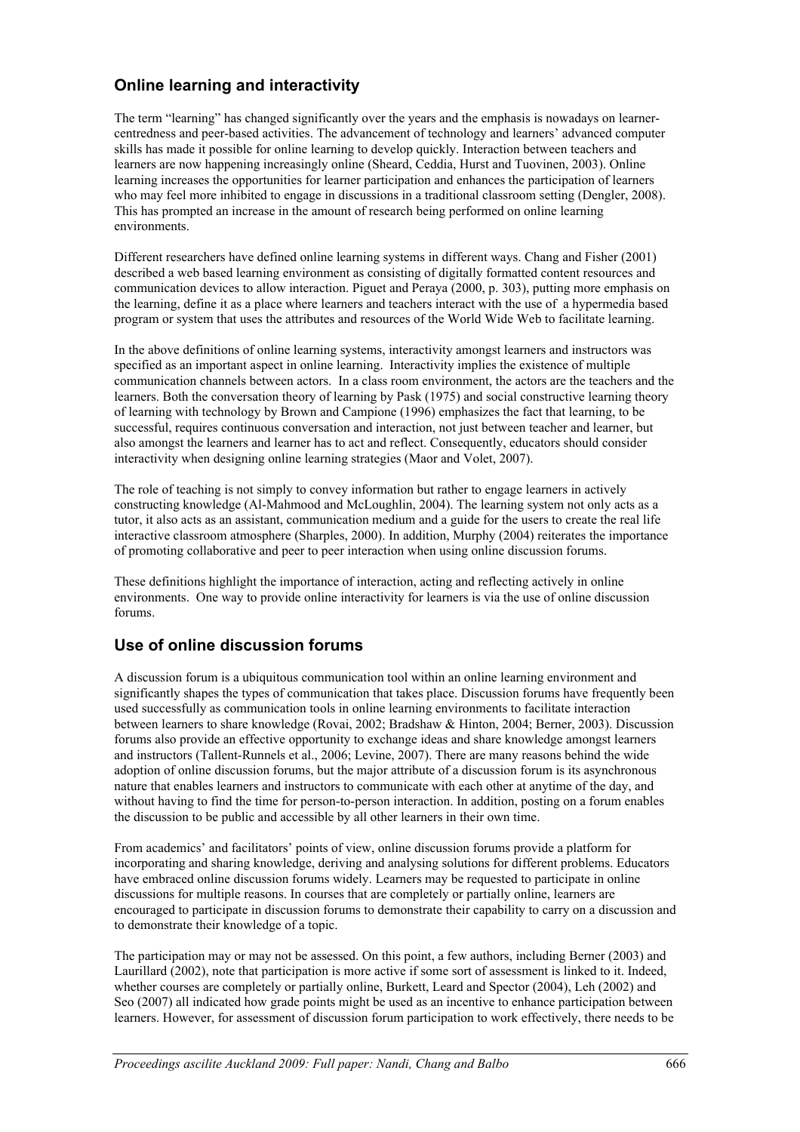# **Online learning and interactivity**

The term "learning" has changed significantly over the years and the emphasis is nowadays on learnercentredness and peer-based activities. The advancement of technology and learners' advanced computer skills has made it possible for online learning to develop quickly. Interaction between teachers and learners are now happening increasingly online (Sheard, Ceddia, Hurst and Tuovinen, 2003). Online learning increases the opportunities for learner participation and enhances the participation of learners who may feel more inhibited to engage in discussions in a traditional classroom setting (Dengler, 2008). This has prompted an increase in the amount of research being performed on online learning environments.

Different researchers have defined online learning systems in different ways. Chang and Fisher (2001) described a web based learning environment as consisting of digitally formatted content resources and communication devices to allow interaction. Piguet and Peraya (2000, p. 303), putting more emphasis on the learning, define it as a place where learners and teachers interact with the use of a hypermedia based program or system that uses the attributes and resources of the World Wide Web to facilitate learning.

In the above definitions of online learning systems, interactivity amongst learners and instructors was specified as an important aspect in online learning. Interactivity implies the existence of multiple communication channels between actors. In a class room environment, the actors are the teachers and the learners. Both the conversation theory of learning by Pask (1975) and social constructive learning theory of learning with technology by Brown and Campione (1996) emphasizes the fact that learning, to be successful, requires continuous conversation and interaction, not just between teacher and learner, but also amongst the learners and learner has to act and reflect. Consequently, educators should consider interactivity when designing online learning strategies (Maor and Volet, 2007).

The role of teaching is not simply to convey information but rather to engage learners in actively constructing knowledge (Al-Mahmood and McLoughlin, 2004). The learning system not only acts as a tutor, it also acts as an assistant, communication medium and a guide for the users to create the real life interactive classroom atmosphere (Sharples, 2000). In addition, Murphy (2004) reiterates the importance of promoting collaborative and peer to peer interaction when using online discussion forums.

These definitions highlight the importance of interaction, acting and reflecting actively in online environments. One way to provide online interactivity for learners is via the use of online discussion forums.

# **Use of online discussion forums**

A discussion forum is a ubiquitous communication tool within an online learning environment and significantly shapes the types of communication that takes place. Discussion forums have frequently been used successfully as communication tools in online learning environments to facilitate interaction between learners to share knowledge (Rovai, 2002; Bradshaw & Hinton, 2004; Berner, 2003). Discussion forums also provide an effective opportunity to exchange ideas and share knowledge amongst learners and instructors (Tallent-Runnels et al., 2006; Levine, 2007). There are many reasons behind the wide adoption of online discussion forums, but the major attribute of a discussion forum is its asynchronous nature that enables learners and instructors to communicate with each other at anytime of the day, and without having to find the time for person-to-person interaction. In addition, posting on a forum enables the discussion to be public and accessible by all other learners in their own time.

From academics' and facilitators' points of view, online discussion forums provide a platform for incorporating and sharing knowledge, deriving and analysing solutions for different problems. Educators have embraced online discussion forums widely. Learners may be requested to participate in online discussions for multiple reasons. In courses that are completely or partially online, learners are encouraged to participate in discussion forums to demonstrate their capability to carry on a discussion and to demonstrate their knowledge of a topic.

The participation may or may not be assessed. On this point, a few authors, including Berner (2003) and Laurillard (2002), note that participation is more active if some sort of assessment is linked to it. Indeed, whether courses are completely or partially online, Burkett, Leard and Spector (2004), Leh (2002) and Seo (2007) all indicated how grade points might be used as an incentive to enhance participation between learners. However, for assessment of discussion forum participation to work effectively, there needs to be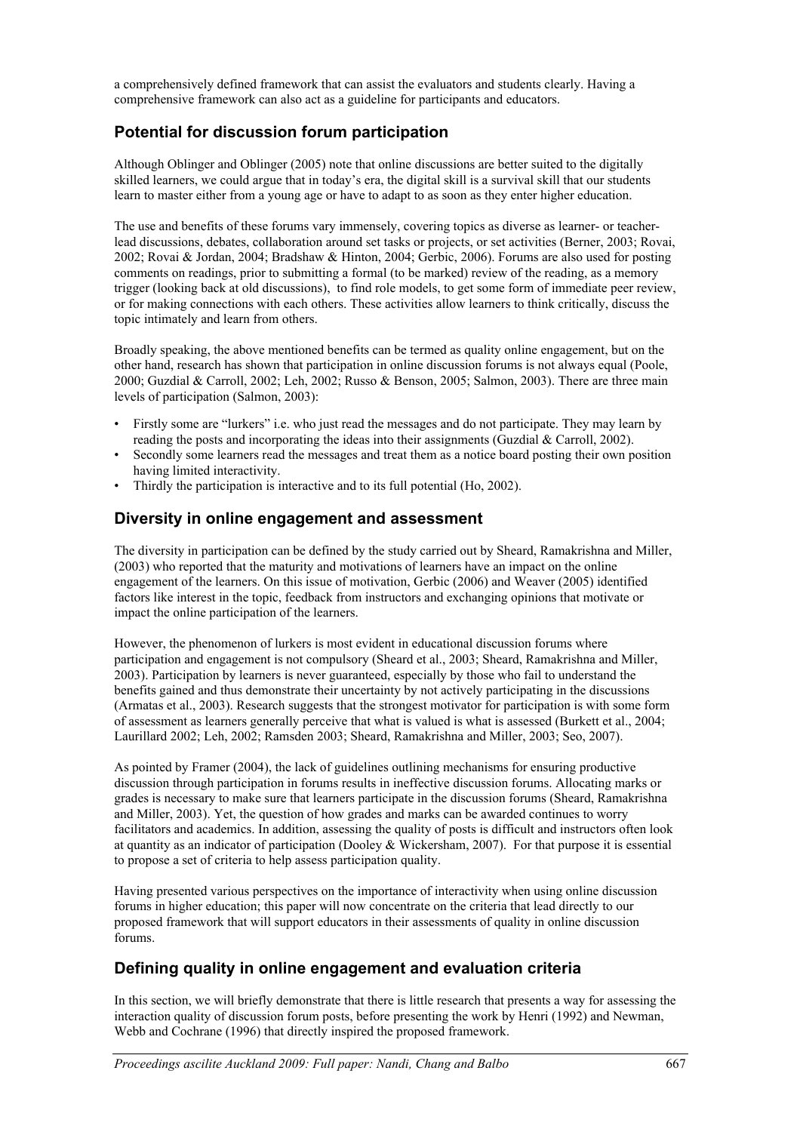a comprehensively defined framework that can assist the evaluators and students clearly. Having a comprehensive framework can also act as a guideline for participants and educators.

# **Potential for discussion forum participation**

Although Oblinger and Oblinger (2005) note that online discussions are better suited to the digitally skilled learners, we could argue that in today's era, the digital skill is a survival skill that our students learn to master either from a young age or have to adapt to as soon as they enter higher education.

The use and benefits of these forums vary immensely, covering topics as diverse as learner- or teacherlead discussions, debates, collaboration around set tasks or projects, or set activities (Berner, 2003; Rovai, 2002; Rovai & Jordan, 2004; Bradshaw & Hinton, 2004; Gerbic, 2006). Forums are also used for posting comments on readings, prior to submitting a formal (to be marked) review of the reading, as a memory trigger (looking back at old discussions), to find role models, to get some form of immediate peer review, or for making connections with each others. These activities allow learners to think critically, discuss the topic intimately and learn from others.

Broadly speaking, the above mentioned benefits can be termed as quality online engagement, but on the other hand, research has shown that participation in online discussion forums is not always equal (Poole, 2000; Guzdial & Carroll, 2002; Leh, 2002; Russo & Benson, 2005; Salmon, 2003). There are three main levels of participation (Salmon, 2003):

- Firstly some are "lurkers" i.e. who just read the messages and do not participate. They may learn by reading the posts and incorporating the ideas into their assignments (Guzdial & Carroll, 2002).
- Secondly some learners read the messages and treat them as a notice board posting their own position having limited interactivity.
- Thirdly the participation is interactive and to its full potential (Ho, 2002).

#### **Diversity in online engagement and assessment**

The diversity in participation can be defined by the study carried out by Sheard, Ramakrishna and Miller, (2003) who reported that the maturity and motivations of learners have an impact on the online engagement of the learners. On this issue of motivation, Gerbic (2006) and Weaver (2005) identified factors like interest in the topic, feedback from instructors and exchanging opinions that motivate or impact the online participation of the learners.

However, the phenomenon of lurkers is most evident in educational discussion forums where participation and engagement is not compulsory (Sheard et al., 2003; Sheard, Ramakrishna and Miller, 2003). Participation by learners is never guaranteed, especially by those who fail to understand the benefits gained and thus demonstrate their uncertainty by not actively participating in the discussions (Armatas et al., 2003). Research suggests that the strongest motivator for participation is with some form of assessment as learners generally perceive that what is valued is what is assessed (Burkett et al., 2004; Laurillard 2002; Leh, 2002; Ramsden 2003; Sheard, Ramakrishna and Miller, 2003; Seo, 2007).

As pointed by Framer (2004), the lack of guidelines outlining mechanisms for ensuring productive discussion through participation in forums results in ineffective discussion forums. Allocating marks or grades is necessary to make sure that learners participate in the discussion forums (Sheard, Ramakrishna and Miller, 2003). Yet, the question of how grades and marks can be awarded continues to worry facilitators and academics. In addition, assessing the quality of posts is difficult and instructors often look at quantity as an indicator of participation (Dooley & Wickersham, 2007). For that purpose it is essential to propose a set of criteria to help assess participation quality.

Having presented various perspectives on the importance of interactivity when using online discussion forums in higher education; this paper will now concentrate on the criteria that lead directly to our proposed framework that will support educators in their assessments of quality in online discussion forums.

# **Defining quality in online engagement and evaluation criteria**

In this section, we will briefly demonstrate that there is little research that presents a way for assessing the interaction quality of discussion forum posts, before presenting the work by Henri (1992) and Newman, Webb and Cochrane (1996) that directly inspired the proposed framework.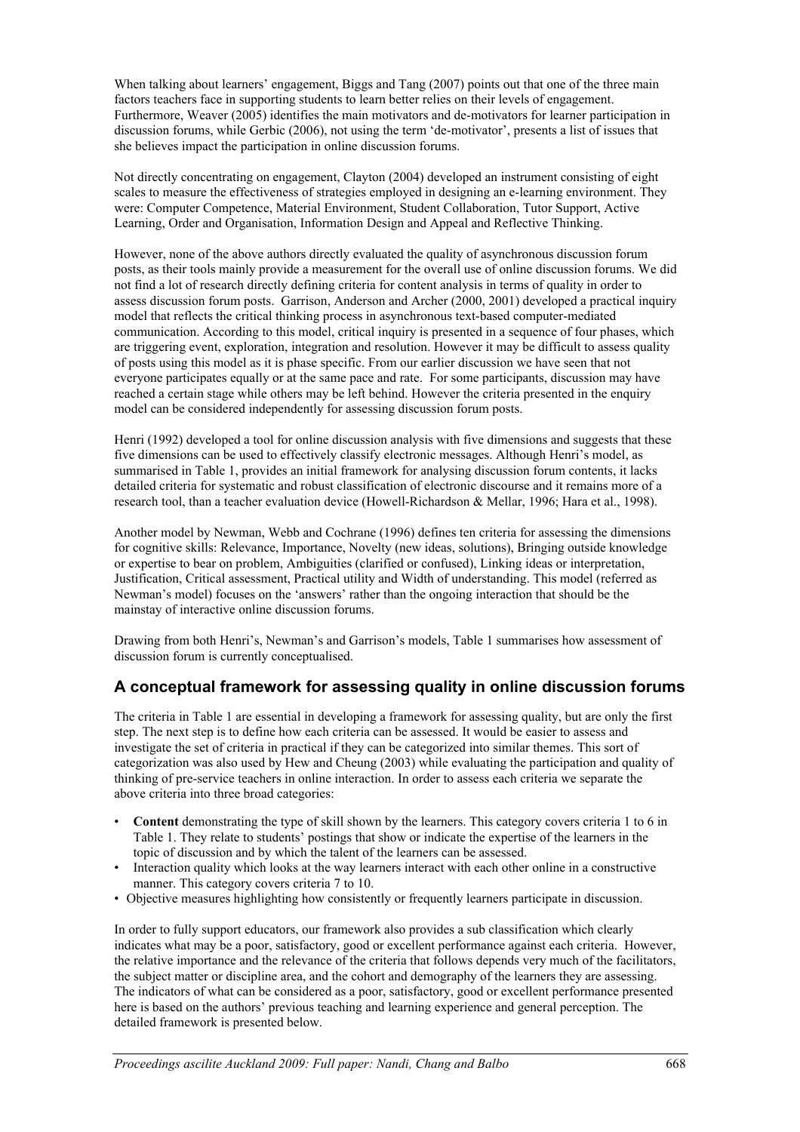When talking about learners' engagement, Biggs and Tang (2007) points out that one of the three main factors teachers face in supporting students to learn better relies on their levels of engagement. Furthermore, Weaver (2005) identifies the main motivators and de-motivators for learner participation in discussion forums, while Gerbic (2006), not using the term 'de-motivator', presents a list of issues that she believes impact the participation in online discussion forums.

Not directly concentrating on engagement, Clayton (2004) developed an instrument consisting of eight scales to measure the effectiveness of strategies employed in designing an e-learning environment. They were: Computer Competence, Material Environment, Student Collaboration, Tutor Support, Active Learning, Order and Organisation, Information Design and Appeal and Reflective Thinking.

However, none of the above authors directly evaluated the quality of asynchronous discussion forum posts, as their tools mainly provide a measurement for the overall use of online discussion forums. We did not find a lot of research directly defining criteria for content analysis in terms of quality in order to assess discussion forum posts. Garrison, Anderson and Archer (2000, 2001) developed a practical inquiry model that reflects the critical thinking process in asynchronous text-based computer-mediated communication. According to this model, critical inquiry is presented in a sequence of four phases, which are triggering event, exploration, integration and resolution. However it may be difficult to assess quality of posts using this model as it is phase specific. From our earlier discussion we have seen that not everyone participates equally or at the same pace and rate. For some participants, discussion may have reached a certain stage while others may be left behind. However the criteria presented in the enquiry model can be considered independently for assessing discussion forum posts.

Henri (1992) developed a tool for online discussion analysis with five dimensions and suggests that these five dimensions can be used to effectively classify electronic messages. Although Henri's model, as summarised in Table 1, provides an initial framework for analysing discussion forum contents, it lacks detailed criteria for systematic and robust classification of electronic discourse and it remains more of a research tool, than a teacher evaluation device (Howell-Richardson & Mellar, 1996; Hara et al., 1998).

Another model by Newman, Webb and Cochrane (1996) defines ten criteria for assessing the dimensions for cognitive skills: Relevance, Importance, Novelty (new ideas, solutions), Bringing outside knowledge or expertise to bear on problem, Ambiguities (clarified or confused), Linking ideas or interpretation, Justification, Critical assessment, Practical utility and Width of understanding. This model (referred as Newman's model) focuses on the 'answers' rather than the ongoing interaction that should be the mainstay of interactive online discussion forums.

Drawing from both Henri's, Newman's and Garrison's models, Table 1 summarises how assessment of discussion forum is currently conceptualised.

#### **A conceptual framework for assessing quality in online discussion forums**

The criteria in Table 1 are essential in developing a framework for assessing quality, but are only the first step. The next step is to define how each criteria can be assessed. It would be easier to assess and investigate the set of criteria in practical if they can be categorized into similar themes. This sort of categorization was also used by Hew and Cheung (2003) while evaluating the participation and quality of thinking of pre-service teachers in online interaction. In order to assess each criteria we separate the above criteria into three broad categories:

- **Content** demonstrating the type of skill shown by the learners. This category covers criteria 1 to 6 in Table 1. They relate to students' postings that show or indicate the expertise of the learners in the topic of discussion and by which the talent of the learners can be assessed.
- Interaction quality which looks at the way learners interact with each other online in a constructive manner. This category covers criteria 7 to 10.
- Objective measures highlighting how consistently or frequently learners participate in discussion.

In order to fully support educators, our framework also provides a sub classification which clearly indicates what may be a poor, satisfactory, good or excellent performance against each criteria. However, the relative importance and the relevance of the criteria that follows depends very much of the facilitators, the subject matter or discipline area, and the cohort and demography of the learners they are assessing. The indicators of what can be considered as a poor, satisfactory, good or excellent performance presented here is based on the authors' previous teaching and learning experience and general perception. The detailed framework is presented below.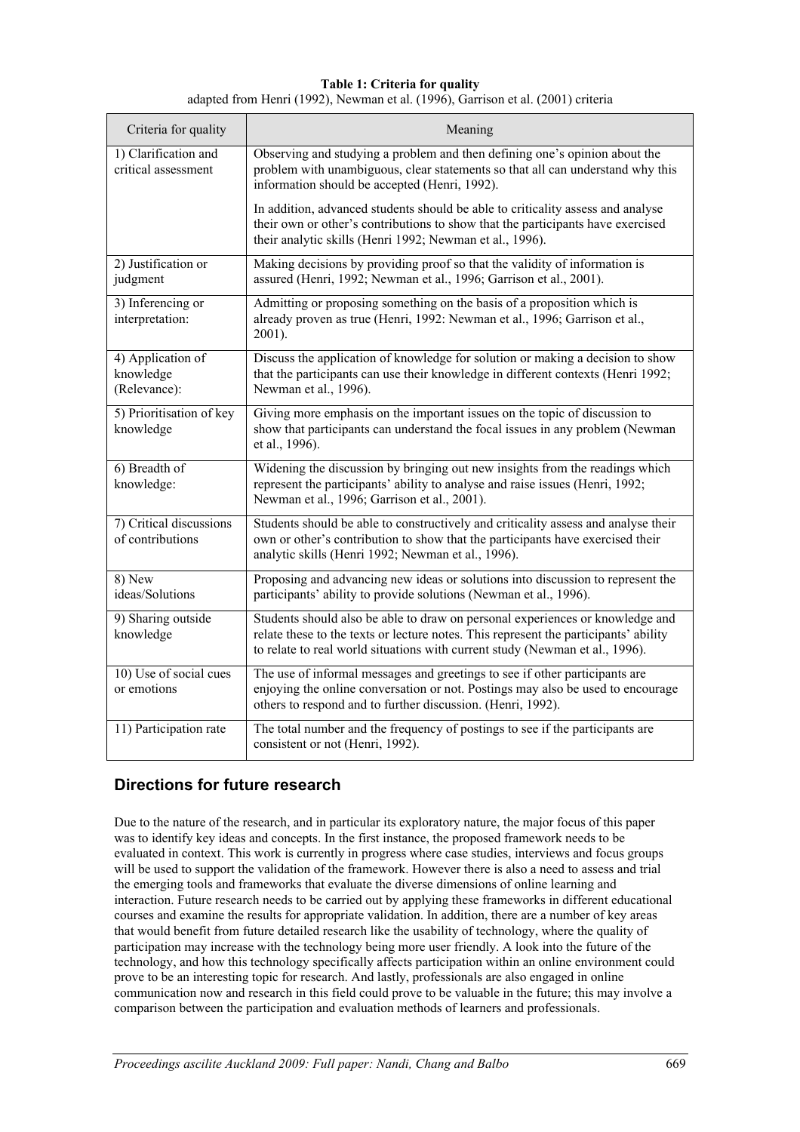**Table 1: Criteria for quality** adapted from Henri (1992), Newman et al. (1996), Garrison et al. (2001) criteria

| Criteria for quality                           | Meaning                                                                                                                                                                                                                                               |  |  |  |
|------------------------------------------------|-------------------------------------------------------------------------------------------------------------------------------------------------------------------------------------------------------------------------------------------------------|--|--|--|
| 1) Clarification and<br>critical assessment    | Observing and studying a problem and then defining one's opinion about the<br>problem with unambiguous, clear statements so that all can understand why this<br>information should be accepted (Henri, 1992).                                         |  |  |  |
|                                                | In addition, advanced students should be able to criticality assess and analyse<br>their own or other's contributions to show that the participants have exercised<br>their analytic skills (Henri 1992; Newman et al., 1996).                        |  |  |  |
| 2) Justification or<br>judgment                | Making decisions by providing proof so that the validity of information is<br>assured (Henri, 1992; Newman et al., 1996; Garrison et al., 2001).                                                                                                      |  |  |  |
| 3) Inferencing or<br>interpretation:           | Admitting or proposing something on the basis of a proposition which is<br>already proven as true (Henri, 1992: Newman et al., 1996; Garrison et al.,<br>2001).                                                                                       |  |  |  |
| 4) Application of<br>knowledge<br>(Relevance): | Discuss the application of knowledge for solution or making a decision to show<br>that the participants can use their knowledge in different contexts (Henri 1992;<br>Newman et al., 1996).                                                           |  |  |  |
| 5) Prioritisation of key<br>knowledge          | Giving more emphasis on the important issues on the topic of discussion to<br>show that participants can understand the focal issues in any problem (Newman<br>et al., 1996).                                                                         |  |  |  |
| 6) Breadth of<br>knowledge:                    | Widening the discussion by bringing out new insights from the readings which<br>represent the participants' ability to analyse and raise issues (Henri, 1992;<br>Newman et al., 1996; Garrison et al., 2001).                                         |  |  |  |
| 7) Critical discussions<br>of contributions    | Students should be able to constructively and criticality assess and analyse their<br>own or other's contribution to show that the participants have exercised their<br>analytic skills (Henri 1992; Newman et al., 1996).                            |  |  |  |
| 8) New<br>ideas/Solutions                      | Proposing and advancing new ideas or solutions into discussion to represent the<br>participants' ability to provide solutions (Newman et al., 1996).                                                                                                  |  |  |  |
| 9) Sharing outside<br>knowledge                | Students should also be able to draw on personal experiences or knowledge and<br>relate these to the texts or lecture notes. This represent the participants' ability<br>to relate to real world situations with current study (Newman et al., 1996). |  |  |  |
| 10) Use of social cues<br>or emotions          | The use of informal messages and greetings to see if other participants are<br>enjoying the online conversation or not. Postings may also be used to encourage<br>others to respond and to further discussion. (Henri, 1992).                         |  |  |  |
| 11) Participation rate                         | The total number and the frequency of postings to see if the participants are<br>consistent or not (Henri, 1992).                                                                                                                                     |  |  |  |

#### **Directions for future research**

Due to the nature of the research, and in particular its exploratory nature, the major focus of this paper was to identify key ideas and concepts. In the first instance, the proposed framework needs to be evaluated in context. This work is currently in progress where case studies, interviews and focus groups will be used to support the validation of the framework. However there is also a need to assess and trial the emerging tools and frameworks that evaluate the diverse dimensions of online learning and interaction. Future research needs to be carried out by applying these frameworks in different educational courses and examine the results for appropriate validation. In addition, there are a number of key areas that would benefit from future detailed research like the usability of technology, where the quality of participation may increase with the technology being more user friendly. A look into the future of the technology, and how this technology specifically affects participation within an online environment could prove to be an interesting topic for research. And lastly, professionals are also engaged in online communication now and research in this field could prove to be valuable in the future; this may involve a comparison between the participation and evaluation methods of learners and professionals.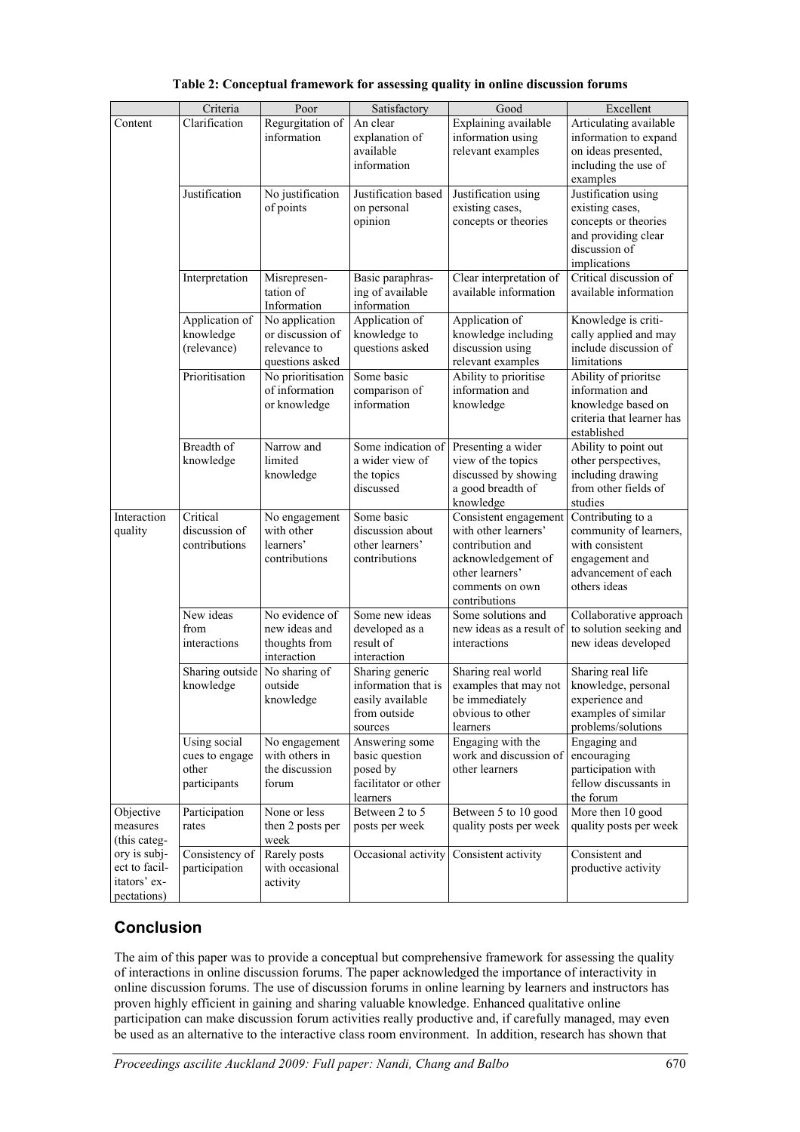|                                                              | Criteria                                                | Poor                                                                  | Satisfactory                                                                          | Good                                                                                                                                           | Excellent                                                                                                               |
|--------------------------------------------------------------|---------------------------------------------------------|-----------------------------------------------------------------------|---------------------------------------------------------------------------------------|------------------------------------------------------------------------------------------------------------------------------------------------|-------------------------------------------------------------------------------------------------------------------------|
| Content                                                      | Clarification                                           | Regurgitation of<br>information                                       | An clear<br>explanation of<br>available<br>information                                | Explaining available<br>information using<br>relevant examples                                                                                 | Articulating available<br>information to expand<br>on ideas presented,<br>including the use of<br>examples              |
|                                                              | Justification                                           | No justification<br>of points                                         | Justification based<br>on personal<br>opinion                                         | Justification using<br>existing cases,<br>concepts or theories                                                                                 | Justification using<br>existing cases,<br>concepts or theories<br>and providing clear<br>discussion of<br>implications  |
|                                                              | Interpretation                                          | Misrepresen-<br>tation of<br>Information                              | Basic paraphras-<br>ing of available<br>information                                   | Clear interpretation of<br>available information                                                                                               | Critical discussion of<br>available information                                                                         |
|                                                              | Application of<br>knowledge<br>(relevance)              | No application<br>or discussion of<br>relevance to<br>questions asked | Application of<br>knowledge to<br>questions asked                                     | Application of<br>knowledge including<br>discussion using<br>relevant examples                                                                 | Knowledge is criti-<br>cally applied and may<br>include discussion of<br>limitations                                    |
|                                                              | Prioritisation                                          | No prioritisation<br>of information<br>or knowledge                   | Some basic<br>comparison of<br>information                                            | Ability to prioritise<br>information and<br>knowledge                                                                                          | Ability of prioritse<br>information and<br>knowledge based on<br>criteria that learner has<br>established               |
|                                                              | Breadth of<br>knowledge                                 | Narrow and<br>limited<br>knowledge                                    | Some indication of<br>a wider view of<br>the topics<br>discussed                      | Presenting a wider<br>view of the topics<br>discussed by showing<br>a good breadth of<br>knowledge                                             | Ability to point out<br>other perspectives,<br>including drawing<br>from other fields of<br>studies                     |
| Interaction<br>quality                                       | Critical<br>discussion of<br>contributions              | No engagement<br>with other<br>learners'<br>contributions             | Some basic<br>discussion about<br>other learners'<br>contributions                    | Consistent engagement<br>with other learners'<br>contribution and<br>acknowledgement of<br>other learners'<br>comments on own<br>contributions | Contributing to a<br>community of learners,<br>with consistent<br>engagement and<br>advancement of each<br>others ideas |
|                                                              | New ideas<br>from<br>interactions                       | No evidence of<br>new ideas and<br>thoughts from<br>interaction       | Some new ideas<br>developed as a<br>result of<br>interaction                          | Some solutions and<br>new ideas as a result of<br>interactions                                                                                 | Collaborative approach<br>to solution seeking and<br>new ideas developed                                                |
|                                                              | Sharing outside No sharing of<br>knowledge              | outside<br>knowledge                                                  | Sharing generic<br>information that is<br>easily available<br>from outside<br>sources | Sharing real world<br>examples that may not<br>be immediately<br>obvious to other<br>learners                                                  | Sharing real life<br>knowledge, personal<br>experience and<br>examples of similar<br>problems/solutions                 |
|                                                              | Using social<br>cues to engage<br>other<br>participants | No engagement<br>with others in<br>the discussion<br>forum            | Answering some<br>basic question<br>posed by<br>facilitator or other<br>learners      | Engaging with the<br>work and discussion of<br>other learners                                                                                  | Engaging and<br>encouraging<br>participation with<br>fellow discussants in<br>the forum                                 |
| Objective<br>measures<br>(this categ-                        | Participation<br>rates                                  | None or less<br>then 2 posts per<br>week                              | Between 2 to 5<br>posts per week                                                      | Between 5 to 10 good<br>quality posts per week                                                                                                 | More then 10 good<br>quality posts per week                                                                             |
| ory is subj-<br>ect to facil-<br>itators' ex-<br>pectations) | Consistency of<br>participation                         | Rarely posts<br>with occasional<br>activity                           | Occasional activity                                                                   | Consistent activity                                                                                                                            | Consistent and<br>productive activity                                                                                   |

#### **Table 2: Conceptual framework for assessing quality in online discussion forums**

# **Conclusion**

The aim of this paper was to provide a conceptual but comprehensive framework for assessing the quality of interactions in online discussion forums. The paper acknowledged the importance of interactivity in online discussion forums. The use of discussion forums in online learning by learners and instructors has proven highly efficient in gaining and sharing valuable knowledge. Enhanced qualitative online participation can make discussion forum activities really productive and, if carefully managed, may even be used as an alternative to the interactive class room environment. In addition, research has shown that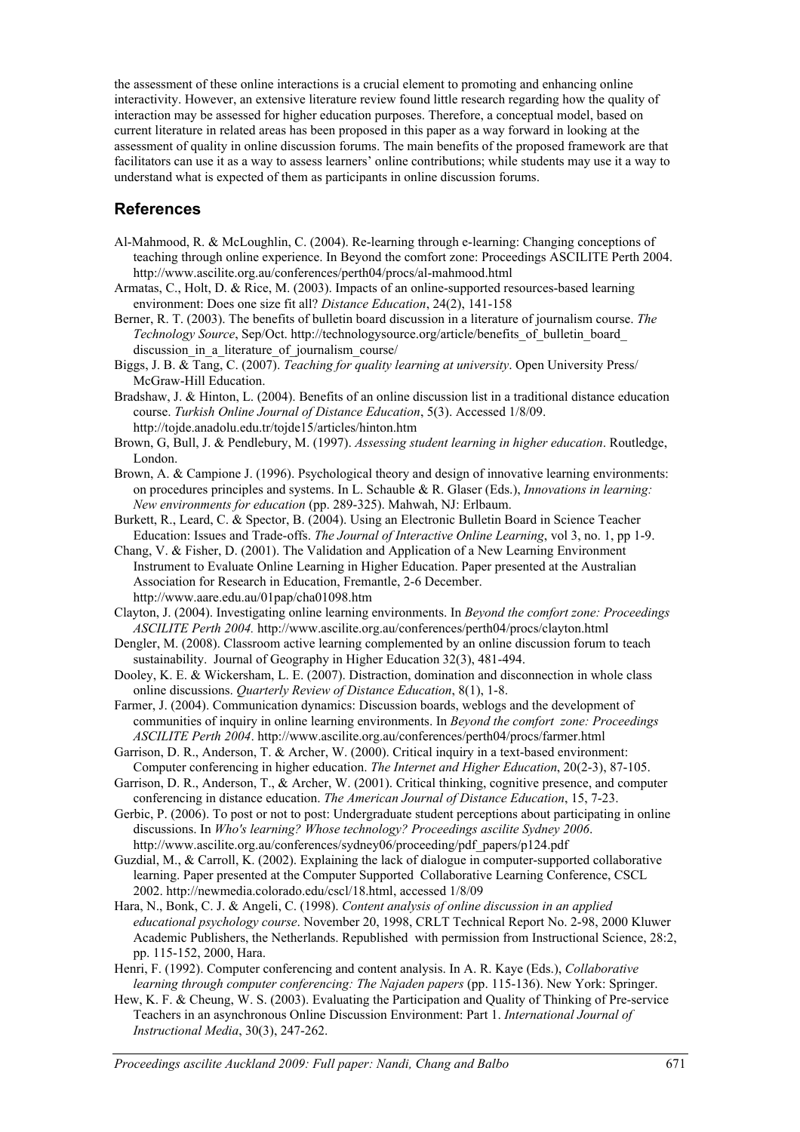the assessment of these online interactions is a crucial element to promoting and enhancing online interactivity. However, an extensive literature review found little research regarding how the quality of interaction may be assessed for higher education purposes. Therefore, a conceptual model, based on current literature in related areas has been proposed in this paper as a way forward in looking at the assessment of quality in online discussion forums. The main benefits of the proposed framework are that facilitators can use it as a way to assess learners' online contributions; while students may use it a way to understand what is expected of them as participants in online discussion forums.

#### **References**

- Al-Mahmood, R. & McLoughlin, C. (2004). Re-learning through e-learning: Changing conceptions of teaching through online experience. In Beyond the comfort zone: Proceedings ASCILITE Perth 2004. http://www.ascilite.org.au/conferences/perth04/procs/al-mahmood.html
- Armatas, C., Holt, D. & Rice, M. (2003). Impacts of an online-supported resources-based learning environment: Does one size fit all? *Distance Education*, 24(2), 141-158
- Berner, R. T. (2003). The benefits of bulletin board discussion in a literature of journalism course. *The Technology Source*, Sep/Oct. http://technologysource.org/article/benefits\_of\_bulletin\_board\_ discussion in a literature of journalism course/
- Biggs, J. B. & Tang, C. (2007). *Teaching for quality learning at university*. Open University Press/ McGraw-Hill Education.
- Bradshaw, J. & Hinton, L. (2004). Benefits of an online discussion list in a traditional distance education course. *Turkish Online Journal of Distance Education*, 5(3). Accessed 1/8/09. http://tojde.anadolu.edu.tr/tojde15/articles/hinton.htm
- Brown, G, Bull, J. & Pendlebury, M. (1997). *Assessing student learning in higher education*. Routledge, London.
- Brown, A. & Campione J. (1996). Psychological theory and design of innovative learning environments: on procedures principles and systems. In L. Schauble & R. Glaser (Eds.), *Innovations in learning: New environments for education* (pp. 289-325). Mahwah, NJ: Erlbaum.
- Burkett, R., Leard, C. & Spector, B. (2004). Using an Electronic Bulletin Board in Science Teacher Education: Issues and Trade-offs. *The Journal of Interactive Online Learning*, vol 3, no. 1, pp 1-9.
- Chang, V. & Fisher, D. (2001). The Validation and Application of a New Learning Environment Instrument to Evaluate Online Learning in Higher Education. Paper presented at the Australian Association for Research in Education, Fremantle, 2-6 December. http://www.aare.edu.au/01pap/cha01098.htm
- Clayton, J. (2004). Investigating online learning environments. In *Beyond the comfort zone: Proceedings ASCILITE Perth 2004.* http://www.ascilite.org.au/conferences/perth04/procs/clayton.html
- Dengler, M. (2008). Classroom active learning complemented by an online discussion forum to teach sustainability. Journal of Geography in Higher Education 32(3), 481-494.
- Dooley, K. E. & Wickersham, L. E. (2007). Distraction, domination and disconnection in whole class online discussions. *Quarterly Review of Distance Education*, 8(1), 1-8.
- Farmer, J. (2004). Communication dynamics: Discussion boards, weblogs and the development of communities of inquiry in online learning environments. In *Beyond the comfort zone: Proceedings ASCILITE Perth 2004*. http://www.ascilite.org.au/conferences/perth04/procs/farmer.html
- Garrison, D. R., Anderson, T. & Archer, W. (2000). Critical inquiry in a text-based environment: Computer conferencing in higher education. *The Internet and Higher Education*, 20(2-3), 87-105.
- Garrison, D. R., Anderson, T., & Archer, W. (2001). Critical thinking, cognitive presence, and computer conferencing in distance education. *The American Journal of Distance Education*, 15, 7-23.
- Gerbic, P. (2006). To post or not to post: Undergraduate student perceptions about participating in online discussions. In *Who's learning? Whose technology? Proceedings ascilite Sydney 2006*. http://www.ascilite.org.au/conferences/sydney06/proceeding/pdf\_papers/p124.pdf
- Guzdial, M., & Carroll, K. (2002). Explaining the lack of dialogue in computer-supported collaborative learning. Paper presented at the Computer Supported Collaborative Learning Conference, CSCL 2002. http://newmedia.colorado.edu/cscl/18.html, accessed 1/8/09
- Hara, N., Bonk, C. J. & Angeli, C. (1998). *Content analysis of online discussion in an applied educational psychology course*. November 20, 1998, CRLT Technical Report No. 2-98, 2000 Kluwer Academic Publishers, the Netherlands. Republished with permission from Instructional Science, 28:2, pp. 115-152, 2000, Hara.
- Henri, F. (1992). Computer conferencing and content analysis. In A. R. Kaye (Eds.), *Collaborative learning through computer conferencing: The Najaden papers* (pp. 115-136). New York: Springer.
- Hew, K. F. & Cheung, W. S. (2003). Evaluating the Participation and Quality of Thinking of Pre-service Teachers in an asynchronous Online Discussion Environment: Part 1. *International Journal of Instructional Media*, 30(3), 247-262.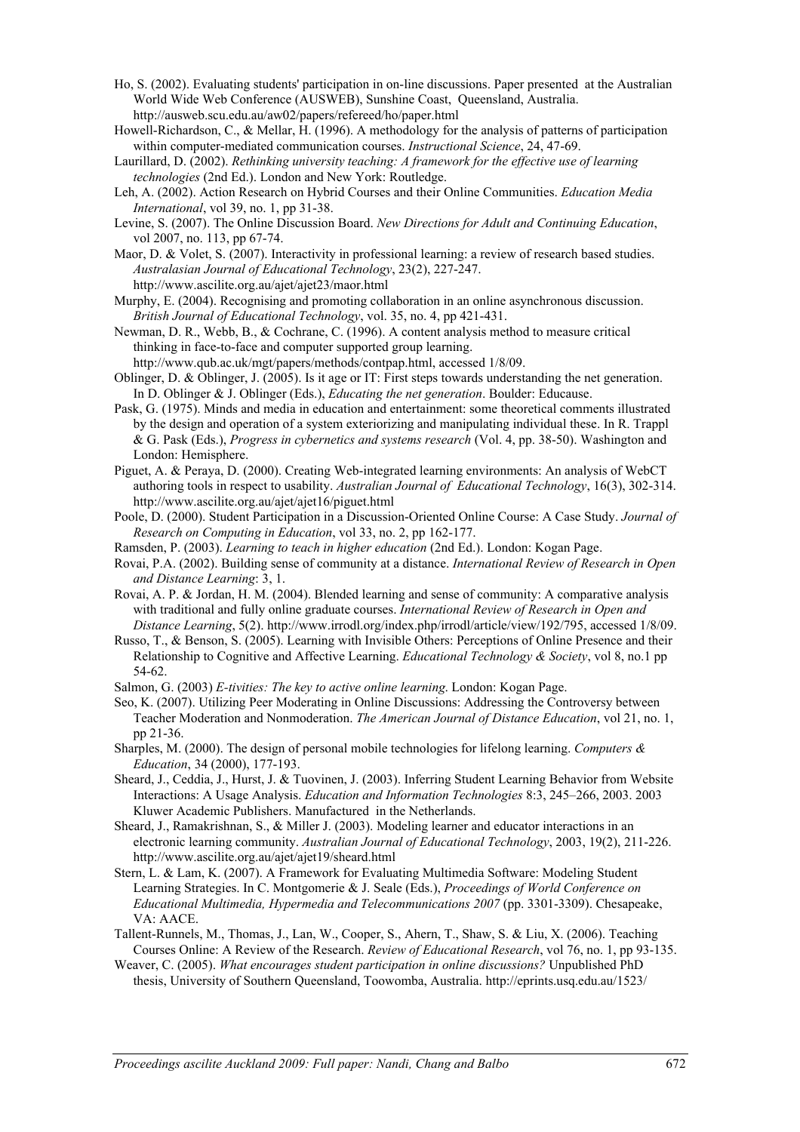- Ho, S. (2002). Evaluating students' participation in on-line discussions. Paper presented at the Australian World Wide Web Conference (AUSWEB), Sunshine Coast, Queensland, Australia. http://ausweb.scu.edu.au/aw02/papers/refereed/ho/paper.html
- Howell-Richardson, C., & Mellar, H. (1996). A methodology for the analysis of patterns of participation within computer-mediated communication courses. *Instructional Science*, 24, 47-69.
- Laurillard, D. (2002). *Rethinking university teaching: A framework for the effective use of learning technologies* (2nd Ed.). London and New York: Routledge.
- Leh, A. (2002). Action Research on Hybrid Courses and their Online Communities. *Education Media International*, vol 39, no. 1, pp 31-38.
- Levine, S. (2007). The Online Discussion Board. *New Directions for Adult and Continuing Education*, vol 2007, no. 113, pp 67-74.
- Maor, D. & Volet, S. (2007). Interactivity in professional learning: a review of research based studies. *Australasian Journal of Educational Technology*, 23(2), 227-247. http://www.ascilite.org.au/ajet/ajet23/maor.html
- Murphy, E. (2004). Recognising and promoting collaboration in an online asynchronous discussion. *British Journal of Educational Technology*, vol. 35, no. 4, pp 421-431.
- Newman, D. R., Webb, B., & Cochrane, C. (1996). A content analysis method to measure critical thinking in face-to-face and computer supported group learning.
- http://www.qub.ac.uk/mgt/papers/methods/contpap.html, accessed 1/8/09.
- Oblinger, D. & Oblinger, J. (2005). Is it age or IT: First steps towards understanding the net generation. In D. Oblinger & J. Oblinger (Eds.), *Educating the net generation*. Boulder: Educause.
- Pask, G. (1975). Minds and media in education and entertainment: some theoretical comments illustrated by the design and operation of a system exteriorizing and manipulating individual these. In R. Trappl & G. Pask (Eds.), *Progress in cybernetics and systems research* (Vol. 4, pp. 38-50). Washington and London: Hemisphere.
- Piguet, A. & Peraya, D. (2000). Creating Web-integrated learning environments: An analysis of WebCT authoring tools in respect to usability. *Australian Journal of Educational Technology*, 16(3), 302-314. http://www.ascilite.org.au/ajet/ajet16/piguet.html
- Poole, D. (2000). Student Participation in a Discussion-Oriented Online Course: A Case Study. *Journal of Research on Computing in Education*, vol 33, no. 2, pp 162-177.
- Ramsden, P. (2003). *Learning to teach in higher education* (2nd Ed.). London: Kogan Page.
- Rovai, P.A. (2002). Building sense of community at a distance. *International Review of Research in Open and Distance Learning*: 3, 1.
- Rovai, A. P. & Jordan, H. M. (2004). Blended learning and sense of community: A comparative analysis with traditional and fully online graduate courses. *International Review of Research in Open and Distance Learning*, 5(2). http://www.irrodl.org/index.php/irrodl/article/view/192/795, accessed 1/8/09.
- Russo, T., & Benson, S. (2005). Learning with Invisible Others: Perceptions of Online Presence and their Relationship to Cognitive and Affective Learning. *Educational Technology & Society*, vol 8, no.1 pp 54-62.
- Salmon, G. (2003) *E-tivities: The key to active online learning*. London: Kogan Page.
- Seo, K. (2007). Utilizing Peer Moderating in Online Discussions: Addressing the Controversy between Teacher Moderation and Nonmoderation. *The American Journal of Distance Education*, vol 21, no. 1, pp 21-36.
- Sharples, M. (2000). The design of personal mobile technologies for lifelong learning. *Computers & Education*, 34 (2000), 177-193.
- Sheard, J., Ceddia, J., Hurst, J. & Tuovinen, J. (2003). Inferring Student Learning Behavior from Website Interactions: A Usage Analysis. *Education and Information Technologies* 8:3, 245–266, 2003. 2003 Kluwer Academic Publishers. Manufactured in the Netherlands.
- Sheard, J., Ramakrishnan, S., & Miller J. (2003). Modeling learner and educator interactions in an electronic learning community. *Australian Journal of Educational Technology*, 2003, 19(2), 211-226. http://www.ascilite.org.au/ajet/ajet19/sheard.html
- Stern, L. & Lam, K. (2007). A Framework for Evaluating Multimedia Software: Modeling Student Learning Strategies. In C. Montgomerie & J. Seale (Eds.), *Proceedings of World Conference on Educational Multimedia, Hypermedia and Telecommunications 2007* (pp. 3301-3309). Chesapeake, VA: AACE.
- Tallent-Runnels, M., Thomas, J., Lan, W., Cooper, S., Ahern, T., Shaw, S. & Liu, X. (2006). Teaching Courses Online: A Review of the Research. *Review of Educational Research*, vol 76, no. 1, pp 93-135.
- Weaver, C. (2005). *What encourages student participation in online discussions?* Unpublished PhD thesis, University of Southern Queensland, Toowomba, Australia. http://eprints.usq.edu.au/1523/